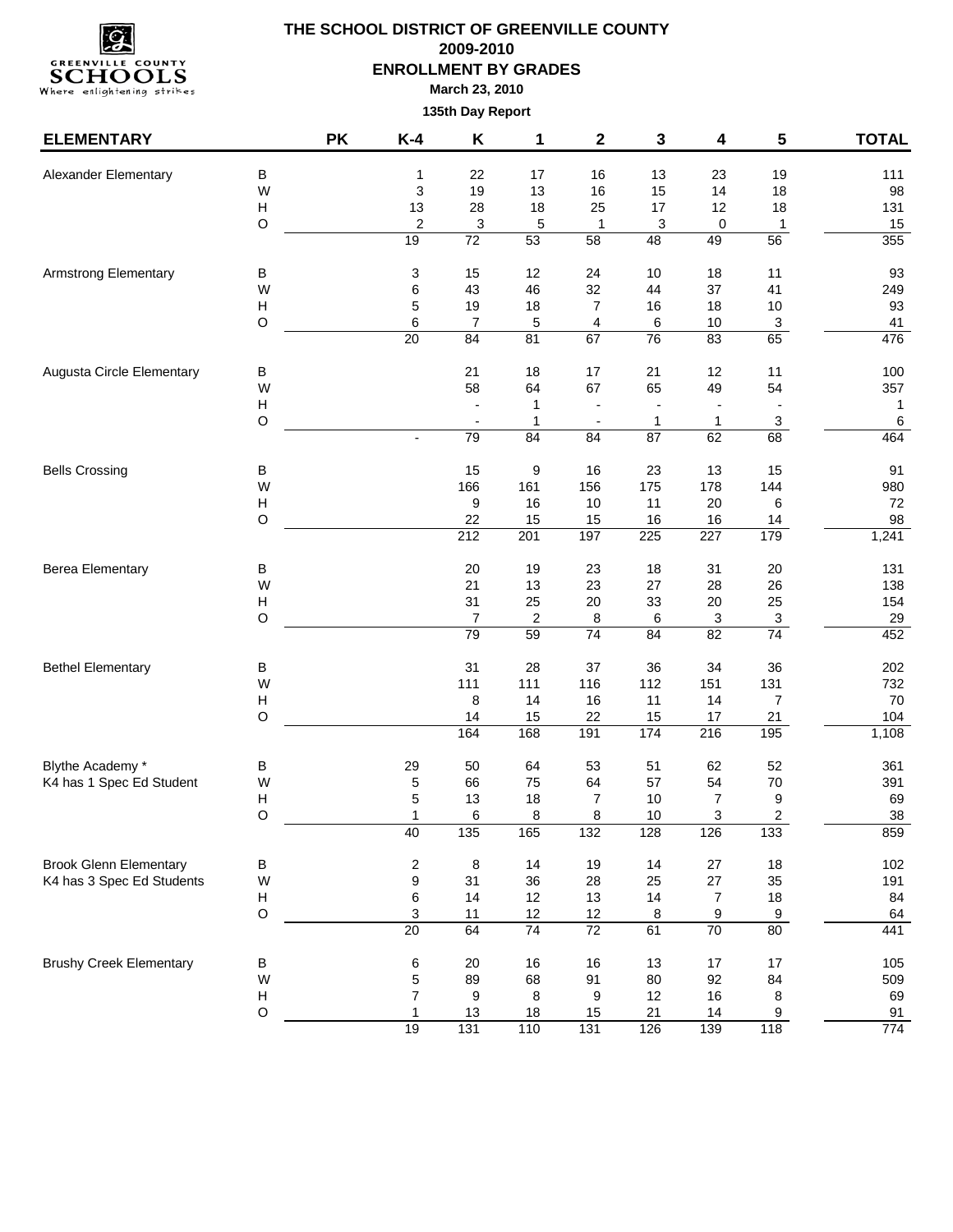

| <b>ELEMENTARY</b>              |                           | <b>PK</b> | $K-4$                                       | Κ                    | 1                | 2                    | 3                 | 4                | $5\phantom{.0}$      | <b>TOTAL</b> |
|--------------------------------|---------------------------|-----------|---------------------------------------------|----------------------|------------------|----------------------|-------------------|------------------|----------------------|--------------|
| Alexander Elementary           | B                         |           | 1                                           | 22                   | 17               | 16                   | 13                | 23               | 19                   | 111          |
|                                | W                         |           | 3                                           | 19                   | 13               | 16                   | 15                | 14               | 18                   | 98           |
|                                | H                         |           | 13                                          | 28                   | 18               | 25                   | 17                | 12               | 18                   | 131          |
|                                | $\circ$                   |           | $\overline{\mathbf{c}}$                     | 3                    | 5                | $\mathbf{1}$         | 3                 | 0                | 1                    | 15           |
|                                |                           |           | 19                                          | $\overline{72}$      | 53               | 58                   | 48                | 49               | 56                   | 355          |
| <b>Armstrong Elementary</b>    | В                         |           | 3                                           | 15                   | 12               | 24                   | 10                | 18               | 11                   | 93           |
|                                | W                         |           | 6                                           | 43                   | 46               | 32                   | 44                | 37               | 41                   | 249          |
|                                | Н                         |           | 5                                           | 19                   | 18               | $\overline{7}$       | 16                | 18               | 10                   | 93           |
|                                | O                         |           | 6<br>$\overline{20}$                        | 7<br>84              | 5<br>81          | 4<br>67              | 6<br>76           | 10<br>83         | $\overline{3}$<br>65 | 41<br>476    |
|                                |                           |           |                                             |                      |                  |                      |                   |                  |                      |              |
| Augusta Circle Elementary      | B                         |           |                                             | 21                   | 18               | 17                   | 21                | 12               | 11                   | 100          |
|                                | W                         |           |                                             | 58                   | 64               | 67                   | 65                | 49               | 54                   | 357          |
|                                | $\boldsymbol{\mathsf{H}}$ |           |                                             |                      | 1                |                      |                   |                  |                      | $\mathbf{1}$ |
|                                | $\mathsf O$               |           |                                             | 79                   | 1<br>84          | 84                   | $\mathbf 1$<br>87 | 1<br>62          | 3<br>68              | 6<br>464     |
|                                |                           |           |                                             |                      |                  |                      |                   |                  |                      |              |
| <b>Bells Crossing</b>          | в                         |           |                                             | 15                   | 9                | 16                   | 23                | 13               | 15                   | 91           |
|                                | W                         |           |                                             | 166                  | 161              | 156                  | 175               | 178              | 144                  | 980          |
|                                | Н                         |           |                                             | 9                    | 16               | 10                   | 11                | 20               | 6                    | 72           |
|                                | O                         |           |                                             | 22<br>212            | 15<br>201        | 15<br>197            | 16<br>225         | 16<br>227        | 14<br>179            | 98<br>1,241  |
|                                |                           |           |                                             |                      |                  |                      |                   |                  |                      |              |
| <b>Berea Elementary</b>        | B                         |           |                                             | 20                   | 19               | 23                   | 18                | 31               | 20                   | 131          |
|                                | W                         |           |                                             | 21                   | 13               | 23                   | 27                | 28               | 26                   | 138          |
|                                | H                         |           |                                             | 31                   | 25               | $20\,$               | 33                | 20               | 25                   | 154          |
|                                | O                         |           |                                             | $\overline{7}$<br>79 | $\sqrt{2}$<br>59 | 8<br>$\overline{74}$ | 6<br>84           | 3<br>82          | 3<br>$\overline{74}$ | 29<br>452    |
|                                |                           |           |                                             |                      |                  |                      |                   |                  |                      |              |
| <b>Bethel Elementary</b>       | в                         |           |                                             | 31                   | 28               | 37                   | 36                | 34               | 36                   | 202          |
|                                | W                         |           |                                             | 111                  | 111              | 116                  | 112               | 151              | 131                  | 732          |
|                                | н                         |           |                                             | 8                    | 14               | 16                   | 11                | 14               | 7                    | 70           |
|                                | $\circ$                   |           |                                             | 14<br>164            | 15<br>168        | 22<br>191            | 15<br>174         | 17<br>216        | 21<br>195            | 104<br>1,108 |
|                                |                           |           |                                             |                      |                  |                      |                   |                  |                      |              |
| Blythe Academy *               | $\sf B$                   |           | 29                                          | 50                   | 64               | 53                   | 51                | 62               | 52                   | 361          |
| K4 has 1 Spec Ed Student       | W                         |           | 5                                           | 66                   | 75               | 64                   | 57                | 54               | 70                   | 391          |
|                                | Н<br>$\circ$              |           | 5<br>1                                      | 13<br>6              | 18<br>8          | 7<br>8               | 10<br>10          | 7<br>3           | 9<br>2               | 69<br>38     |
|                                |                           |           | 40                                          | 135                  | 165              | 132                  | 128               | 126              | 133                  | 859          |
| <b>Brook Glenn Elementary</b>  |                           |           |                                             |                      | 14               | 19                   | 14                | 27               |                      | 102          |
| K4 has 3 Spec Ed Students      | В<br>W                    |           | $\overline{\mathbf{c}}$<br>$\boldsymbol{9}$ | 8<br>31              | 36               | 28                   | 25                | 27               | $18$<br>35           | 191          |
|                                | н                         |           | 6                                           | 14                   | 12               | 13                   | 14                | $\boldsymbol{7}$ | 18                   | 84           |
|                                | $\hbox{O}$                |           | 3                                           | 11                   | 12               | 12                   | 8                 | 9                | $\overline{9}$       | 64           |
|                                |                           |           | $\overline{20}$                             | 64                   | 74               | 72                   | 61                | 70               | 80                   | 441          |
| <b>Brushy Creek Elementary</b> | B                         |           | 6                                           | 20                   | 16               | 16                   | 13                | $17$             | 17                   | 105          |
|                                | W                         |           | 5                                           | 89                   | 68               | 91                   | 80                | 92               | 84                   | 509          |
|                                | $\boldsymbol{\mathsf{H}}$ |           | $\overline{7}$                              | 9                    | 8                | 9                    | 12                | $16\,$           | 8                    | 69           |
|                                | $\circ$                   |           | $\mathbf{1}$                                | 13                   | 18               | 15                   | 21                | 14               | 9                    | 91           |
|                                |                           |           | 19                                          | 131                  | 110              | 131                  | 126               | 139              | 118                  | 774          |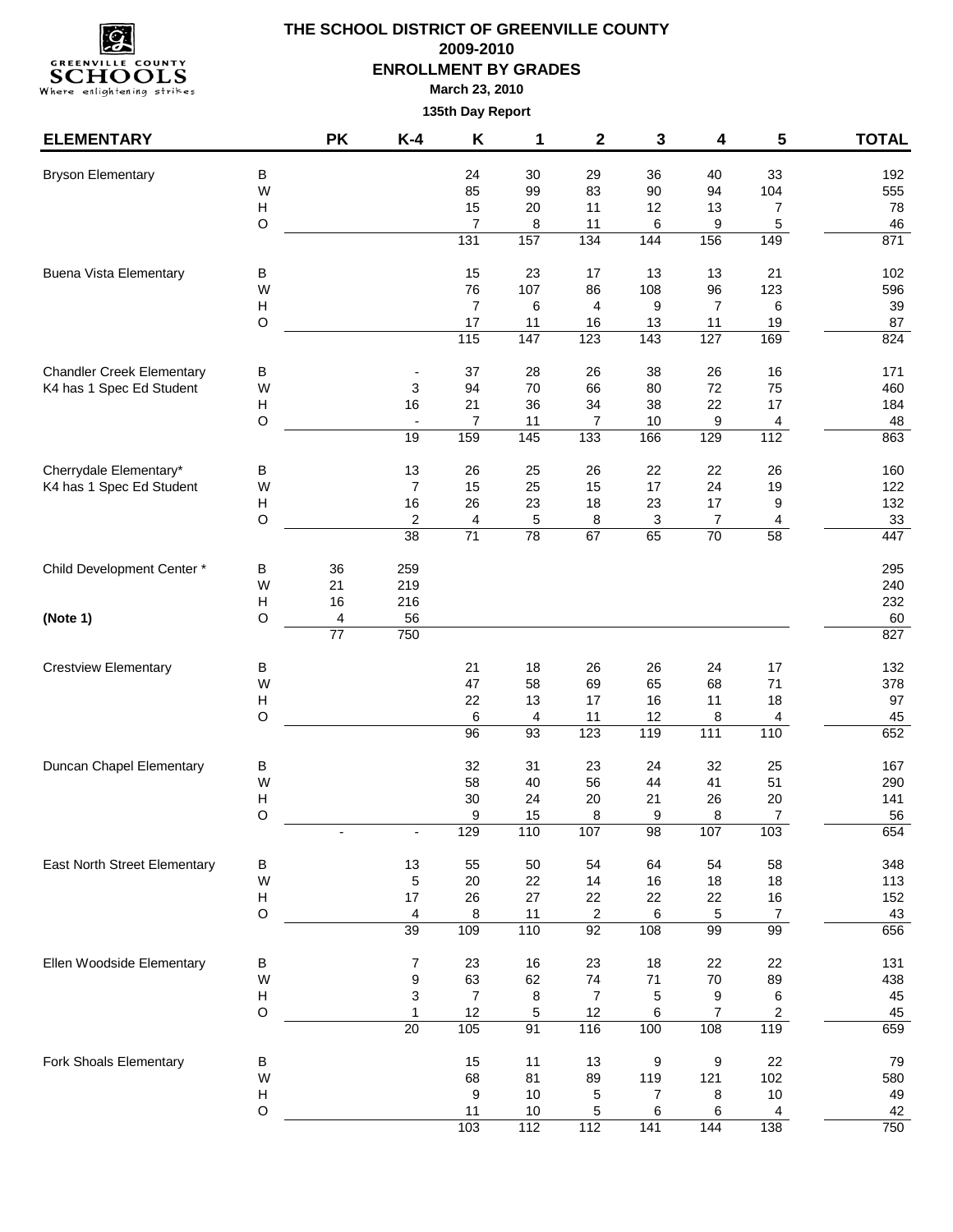

| <b>ELEMENTARY</b>                |                                | <b>PK</b>       | $K-4$                    | Κ                     | 1            | $\mathbf 2$             | 3         | 4                 | 5              | <b>TOTAL</b> |
|----------------------------------|--------------------------------|-----------------|--------------------------|-----------------------|--------------|-------------------------|-----------|-------------------|----------------|--------------|
| <b>Bryson Elementary</b>         | В                              |                 |                          | 24                    | 30           | 29                      | 36        | 40                | 33             | 192          |
|                                  | W                              |                 |                          | 85                    | 99           | 83                      | 90        | 94                | 104            | 555          |
|                                  | $\boldsymbol{\mathsf{H}}$      |                 |                          | 15                    | 20           | 11                      | 12        | 13                | $\overline{7}$ | 78           |
|                                  | $\circ$                        |                 |                          | $\overline{7}$<br>131 | 8<br>157     | 11<br>134               | 6<br>144  | 9<br>156          | 5<br>149       | 46<br>871    |
|                                  |                                |                 |                          |                       |              |                         |           |                   |                |              |
| <b>Buena Vista Elementary</b>    | В                              |                 |                          | 15                    | 23           | 17                      | 13        | 13                | 21             | 102          |
|                                  | W                              |                 |                          | 76                    | 107          | 86                      | 108       | 96                | 123            | 596          |
|                                  | H<br>O                         |                 |                          | $\overline{7}$        | 6            | 4                       | 9         | $\overline{7}$    | 6              | 39           |
|                                  |                                |                 |                          | 17<br>115             | 11<br>147    | 16<br>123               | 13<br>143 | 11<br>127         | 19<br>169      | 87<br>824    |
| <b>Chandler Creek Elementary</b> | $\sf B$                        |                 |                          | 37                    | 28           | 26                      | 38        | 26                | 16             | 171          |
| K4 has 1 Spec Ed Student         | W                              |                 | 3                        | 94                    | $70\,$       | 66                      | 80        | 72                | 75             | 460          |
|                                  | H                              |                 | 16                       | 21                    | 36           | 34                      | 38        | 22                | 17             | 184          |
|                                  | $\circ$                        |                 | $\overline{\phantom{a}}$ | $\overline{7}$        | 11           | $\overline{7}$          | $10$      | 9                 | 4              | 48           |
|                                  |                                |                 | 19                       | 159                   | 145          | 133                     | 166       | 129               | 112            | 863          |
| Cherrydale Elementary*           | В                              |                 | 13                       | 26                    | 25           | 26                      | 22        | 22                | 26             | 160          |
| K4 has 1 Spec Ed Student         | W                              |                 | $\overline{7}$           | 15                    | 25           | 15                      | 17        | 24                | 19             | 122          |
|                                  | H                              |                 | 16                       | 26                    | 23           | 18                      | 23        | 17                | 9              | 132          |
|                                  | $\circ$                        |                 | 2                        | 4                     | 5            | 8                       | 3         | 7                 | 4              | 33           |
|                                  |                                |                 | 38                       | 71                    | 78           | 67                      | 65        | 70                | 58             | 447          |
| Child Development Center *       | В                              | 36              | 259                      |                       |              |                         |           |                   |                | 295          |
|                                  | W                              | 21              | 219                      |                       |              |                         |           |                   |                | 240          |
| (Note 1)                         | H<br>$\circ$                   | 16<br>4         | 216<br>56                |                       |              |                         |           |                   |                | 232<br>60    |
|                                  |                                | $\overline{77}$ | 750                      |                       |              |                         |           |                   |                | 827          |
| <b>Crestview Elementary</b>      | В                              |                 |                          | 21                    | 18           | 26                      | 26        | 24                | 17             | 132          |
|                                  | W                              |                 |                          | 47                    | 58           | 69                      | 65        | 68                | 71             | 378          |
|                                  | $\boldsymbol{\mathsf{H}}$      |                 |                          | 22                    | 13           | 17                      | 16        | 11                | 18             | 97           |
|                                  | $\circ$                        |                 |                          | 6                     | 4            | 11                      | 12        | 8                 | 4              | 45           |
|                                  |                                |                 |                          | $\overline{96}$       | 93           | 123                     | 119       | $\frac{111}{111}$ | 110            | 652          |
| Duncan Chapel Elementary         | В                              |                 |                          | 32                    | 31           | 23                      | 24        | 32                | 25             | 167          |
|                                  | W                              |                 |                          | 58                    | 40           | 56                      | 44        | 41                | 51             | 290          |
|                                  | Н                              |                 |                          | 30                    | 24           | 20                      | 21        | 26                | 20             | 141          |
|                                  | $\circ$                        |                 | $\overline{\phantom{a}}$ | 9<br>129              | 15<br>110    | 8<br>107                | 9<br>98   | 8<br>107          | 7<br>103       | 56<br>654    |
|                                  |                                |                 |                          |                       |              |                         |           |                   |                |              |
| East North Street Elementary     | В<br>W                         |                 | 13<br>5                  | 55<br>20              | 50<br>22     | 54<br>14                | 64<br>16  | 54<br>18          | 58<br>18       | 348<br>113   |
|                                  | $\boldsymbol{\mathsf{H}}$      |                 | 17                       | 26                    | 27           | 22                      | 22        | 22                | 16             | 152          |
|                                  | $\circ$                        |                 | 4                        | 8                     | 11           | $\overline{\mathbf{c}}$ | 6         | 5                 | $\overline{7}$ | 43           |
|                                  |                                |                 | 39                       | 109                   | 110          | 92                      | 108       | 99                | 99             | 656          |
| Ellen Woodside Elementary        | В                              |                 | 7                        | 23                    | 16           | 23                      | 18        | 22                | 22             | 131          |
|                                  | W                              |                 | 9                        | 63                    | 62           | 74                      | $71$      | $70\,$            | 89             | 438          |
|                                  | Н                              |                 | 3                        | $\boldsymbol{7}$      | 8            | 7                       | 5         | 9                 | 6              | 45           |
|                                  | $\circ$                        |                 | 1                        | 12                    | 5            | 12                      | 6         | $\overline{7}$    | 2              | 45           |
|                                  |                                |                 | 20                       | 105                   | 91           | 116                     | 100       | 108               | 119            | 659          |
| Fork Shoals Elementary           | $\sf B$                        |                 |                          | 15                    | 11           | 13                      | 9         | 9                 | 22             | 79           |
|                                  | W                              |                 |                          | 68                    | 81           | 89                      | 119       | 121               | 102            | 580          |
|                                  | $\boldsymbol{\mathsf{H}}$<br>O |                 |                          | 9<br>11               | $10$<br>$10$ | 5<br>5                  | 7<br>6    | 8<br>6            | $10$           | 49<br>42     |
|                                  |                                |                 |                          | 103                   | 112          | 112                     | 141       | 144               | 4<br>138       | 750          |
|                                  |                                |                 |                          |                       |              |                         |           |                   |                |              |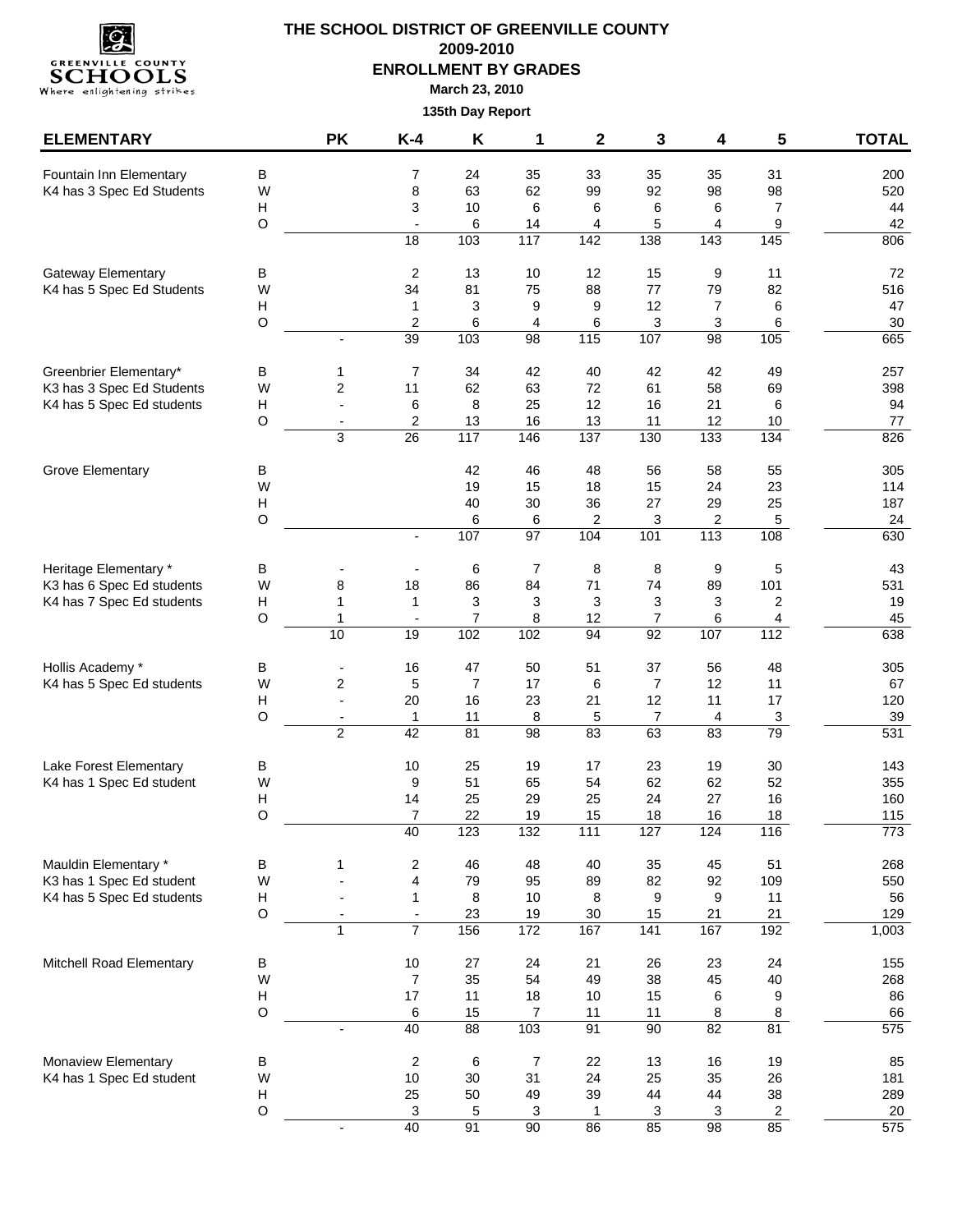

| <b>ELEMENTARY</b>                                     |                  | <b>PK</b>      | $K-4$                           | Κ                   | 1                       | $\mathbf{2}$           | 3                   | 4                    | 5                    | <b>TOTAL</b>     |
|-------------------------------------------------------|------------------|----------------|---------------------------------|---------------------|-------------------------|------------------------|---------------------|----------------------|----------------------|------------------|
| Fountain Inn Elementary                               | В                |                | 7                               | 24                  | 35                      | 33                     | 35                  | 35                   | 31                   | 200              |
| K4 has 3 Spec Ed Students                             | W                |                | 8                               | 63                  | 62                      | 99                     | 92                  | 98                   | 98                   | 520              |
|                                                       | н                |                | 3                               | $10$                | 6                       | 6                      | 6                   | 6                    | $\overline{7}$       | 44               |
|                                                       | $\mathsf O$      |                | $\overline{\phantom{a}}$        | 6                   | 14                      | 4                      | 5                   | 4                    | $\boldsymbol{9}$     | 42               |
|                                                       |                  |                | 18                              | 103                 | 117                     | 142                    | 138                 | 143                  | 145                  | 806              |
| <b>Gateway Elementary</b>                             | В                |                | 2                               | 13                  | 10                      | 12                     | 15                  | 9                    | 11                   | 72               |
| K4 has 5 Spec Ed Students                             | W<br>н           |                | 34<br>1                         | 81<br>3             | 75<br>9                 | 88<br>9                | 77<br>12            | 79<br>$\overline{7}$ | 82<br>6              | 516<br>47        |
|                                                       | $\circ$          |                | $\overline{2}$                  | 6                   | $\overline{\mathbf{4}}$ | 6                      | 3                   | 3                    | 6                    | 30               |
|                                                       |                  |                | 39                              | 103                 | 98                      | 115                    | 107                 | 98                   | 105                  | 665              |
| Greenbrier Elementary*                                | В                | 1              | $\overline{7}$                  | 34                  | 42                      | 40                     | 42                  | 42                   | 49                   | 257              |
| K3 has 3 Spec Ed Students                             | W                | 2              | 11                              | 62                  | 63                      | 72                     | 61                  | 58                   | 69                   | 398              |
| K4 has 5 Spec Ed students                             | н                | L,             | 6                               | 8                   | 25                      | 12                     | 16                  | 21                   | 6                    | 94               |
|                                                       | $\circ$          |                | 2                               | 13                  | 16                      | 13                     | 11                  | 12                   | 10                   | 77               |
|                                                       |                  | 3              | 26                              | 117                 | 146                     | 137                    | 130                 | 133                  | 134                  | 826              |
| <b>Grove Elementary</b>                               | В                |                |                                 | 42                  | 46                      | 48                     | 56                  | 58                   | 55                   | 305              |
|                                                       | W                |                |                                 | 19                  | 15                      | 18                     | 15                  | 24                   | 23                   | 114              |
|                                                       | н                |                |                                 | 40                  | 30                      | 36                     | 27                  | 29                   | 25                   | 187              |
|                                                       | $\circ$          |                | $\overline{\phantom{a}}$        | 6<br>107            | 6<br>97                 | 2<br>104               | 3<br>101            | 2<br>113             | $\sqrt{5}$<br>108    | 24<br>630        |
|                                                       |                  |                |                                 |                     |                         |                        |                     |                      |                      |                  |
| Heritage Elementary *                                 | В                |                |                                 | 6                   | $\overline{7}$          | 8                      | 8                   | 9                    | 5                    | 43               |
| K3 has 6 Spec Ed students                             | W                | 8              | 18                              | 86                  | 84                      | 71                     | 74                  | 89                   | 101                  | 531              |
| K4 has 7 Spec Ed students                             | Н<br>$\circ$     | 1              | 1<br>$\overline{\phantom{a}}$   | 3<br>$\overline{7}$ | 3<br>8                  | 3<br>12                | 3<br>$\overline{7}$ | 3<br>6               | $\mathbf{2}$<br>4    | 19<br>45         |
|                                                       |                  | 10             | 19                              | 102                 | 102                     | 94                     | 92                  | 107                  | 112                  | 638              |
| Hollis Academy *                                      | В                | $\overline{a}$ | 16                              | 47                  | 50                      | 51                     | 37                  | 56                   | 48                   | 305              |
| K4 has 5 Spec Ed students                             | W                | 2              | 5                               | 7                   | 17                      | 6                      | 7                   | 12                   | 11                   | 67               |
|                                                       | H                |                | 20                              | 16                  | 23                      | 21                     | 12                  | 11                   | 17                   | 120              |
|                                                       | $\circ$          | $\overline{a}$ | 1                               | 11                  | 8                       | 5                      | $\overline{7}$      | 4                    | $\mathbf{3}$         | 39               |
|                                                       |                  | $\overline{2}$ | 42                              | 81                  | 98                      | 83                     | 63                  | 83                   | 79                   | $\overline{531}$ |
| Lake Forest Elementary                                | В                |                | 10                              | 25                  | 19                      | 17                     | 23                  | 19                   | 30                   | 143              |
| K4 has 1 Spec Ed student                              | W                |                | 9                               | 51                  | 65                      | 54                     | 62                  | 62                   | 52                   | 355              |
|                                                       | н                |                | 14                              | 25                  | 29                      | 25                     | 24                  | 27                   | 16                   | 160              |
|                                                       | O                |                | $\overline{7}$<br>40            | 22<br>123           | 19<br>$\overline{132}$  | 15<br>$\overline{111}$ | 18<br>127           | 16<br>124            | 18<br>116            | 115<br>773       |
|                                                       |                  |                |                                 |                     |                         |                        |                     |                      |                      |                  |
| Mauldin Elementary *                                  | В                | 1              | $\overline{c}$                  | 46                  | 48                      | 40                     | 35                  | 45                   | 51                   | 268              |
| K3 has 1 Spec Ed student<br>K4 has 5 Spec Ed students | W<br>Н           |                | 4<br>$\mathbf 1$                | 79<br>8             | 95<br>10                | 89<br>8                | 82<br>9             | 92<br>9              | 109<br>11            | 550<br>56        |
|                                                       | $\mathsf O$      |                | $\overline{\phantom{a}}$        | 23                  | 19                      | 30                     | 15                  | 21                   | 21                   | 129              |
|                                                       |                  | $\mathbf{1}$   | 7                               | 156                 | 172                     | 167                    | 141                 | 167                  | 192                  | 1,003            |
| Mitchell Road Elementary                              | В                |                | $10$                            | 27                  | 24                      | 21                     | 26                  | 23                   | 24                   | 155              |
|                                                       | W                |                | $\overline{7}$                  | 35                  | 54                      | 49                     | 38                  | 45                   | 40                   | 268              |
|                                                       | H                |                | 17                              | 11                  | 18                      | $10$                   | 15                  | 6                    | 9                    | 86               |
|                                                       | $\circ$          |                | 6                               | 15                  | $\overline{7}$          | 11                     | 11                  | 8                    | 8                    | 66               |
|                                                       |                  | $\overline{a}$ | 40                              | 88                  | 103                     | 91                     | 90                  | 82                   | 81                   | 575              |
| Monaview Elementary                                   | В                |                | $\overline{c}$                  | 6                   | $\overline{7}$          | 22                     | 13                  | 16                   | 19                   | 85               |
| K4 has 1 Spec Ed student                              | W                |                | $10$                            | 30                  | 31                      | 24                     | 25                  | 35                   | 26                   | 181              |
|                                                       | н<br>$\mathsf O$ |                | 25<br>$\ensuremath{\mathsf{3}}$ | 50<br>5             | 49<br>$\mathsf 3$       | 39<br>1                | 44<br>3             | 44<br>3              | 38<br>$\overline{2}$ | 289<br>20        |
|                                                       |                  |                | 40                              | 91                  | 90                      | 86                     | 85                  | 98                   | 85                   | 575              |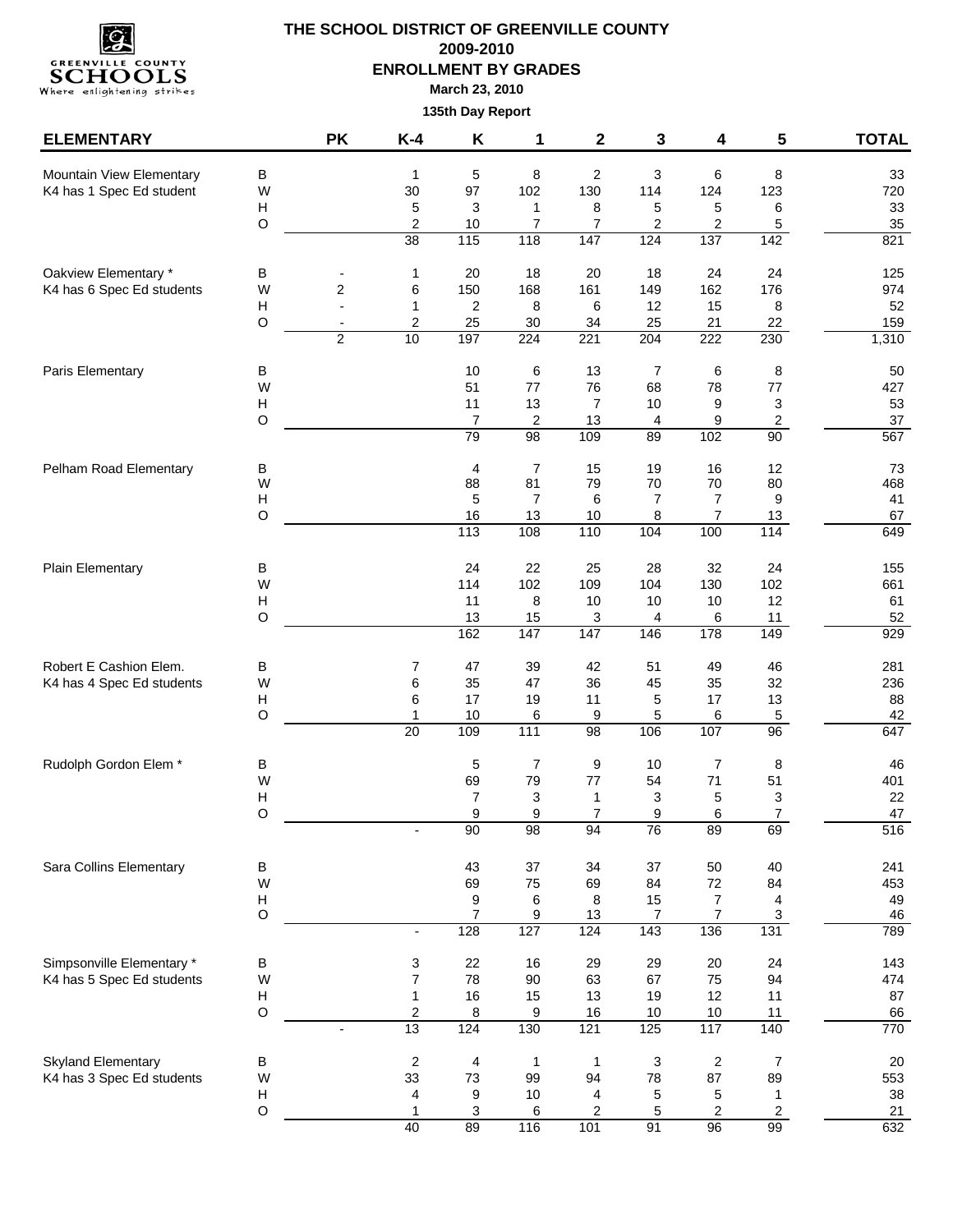

| <b>ELEMENTARY</b>                                      |                            | <b>PK</b>                                  | $K-4$                                 | K                          | 1                           | $\mathbf{2}$                | 3                           | 4                          | 5                                | <b>TOTAL</b>           |
|--------------------------------------------------------|----------------------------|--------------------------------------------|---------------------------------------|----------------------------|-----------------------------|-----------------------------|-----------------------------|----------------------------|----------------------------------|------------------------|
| Mountain View Elementary<br>K4 has 1 Spec Ed student   | В<br>W<br>H                |                                            | 1<br>30<br>5                          | 5<br>97<br>$\mathsf 3$     | 8<br>102<br>1               | 2<br>130<br>8               | 3<br>114<br>5               | 6<br>124<br>5              | 8<br>123<br>6                    | 33<br>720<br>33        |
|                                                        | $\mathsf O$                |                                            | $\overline{c}$<br>38                  | $10$<br>115                | $\overline{7}$<br>118       | 7<br>147                    | $\overline{c}$<br>124       | 2<br>137                   | 5<br>142                         | 35<br>821              |
| Oakview Elementary *<br>K4 has 6 Spec Ed students      | в<br>W<br>H                | 2<br>$\overline{a}$                        | 1<br>6<br>1                           | 20<br>150<br>2             | 18<br>168<br>8              | 20<br>161<br>6              | 18<br>149<br>12             | 24<br>162<br>15            | 24<br>176<br>8                   | 125<br>974<br>52       |
|                                                        | O                          | $\overline{\phantom{a}}$<br>$\overline{2}$ | 2<br>10                               | 25<br>197                  | 30<br>224                   | 34<br>221                   | 25<br>204                   | 21<br>222                  | 22<br>230                        | 159<br>1,310           |
| Paris Elementary                                       | В<br>W                     |                                            |                                       | 10<br>51                   | 6<br>77                     | 13<br>76                    | $\overline{7}$<br>68        | 6<br>78                    | 8<br>77                          | 50<br>427              |
|                                                        | H<br>$\mathsf O$           |                                            |                                       | 11<br>$\overline{7}$<br>79 | 13<br>2<br>98               | $\overline{7}$<br>13<br>109 | $10$<br>4<br>89             | 9<br>9<br>102              | 3<br>$\overline{c}$<br>90        | 53<br>37<br>567        |
| Pelham Road Elementary                                 | В<br>W                     |                                            |                                       | 4<br>88                    | $\overline{7}$<br>81        | 15<br>79                    | 19<br>70                    | 16<br>70                   | 12<br>80                         | 73<br>468              |
|                                                        | H<br>$\circ$               |                                            |                                       | 5<br>16<br>113             | $\overline{7}$<br>13<br>108 | 6<br>10<br>110              | $\overline{7}$<br>8<br>104  | 7<br>7<br>100              | 9<br>13<br>114                   | 41<br>67<br>649        |
| Plain Elementary                                       | $\sf B$                    |                                            |                                       | 24                         | 22                          | 25                          | 28                          | 32                         | 24                               | 155                    |
|                                                        | W<br>H<br>$\circ$          |                                            |                                       | 114<br>11<br>13            | 102<br>8<br>15              | 109<br>10<br>3              | 104<br>10<br>4              | 130<br>10<br>6             | 102<br>12<br>11                  | 661<br>61<br>52        |
|                                                        |                            |                                            |                                       | 162                        | 147                         | 147                         | 146                         | 178                        | 149                              | 929                    |
| Robert E Cashion Elem.<br>K4 has 4 Spec Ed students    | в<br>W<br>н<br>$\mathsf O$ |                                            | 7<br>6<br>6<br>1                      | 47<br>35<br>17<br>$10$     | 39<br>47<br>19<br>6         | 42<br>36<br>11<br>9         | 51<br>45<br>5<br>5          | 49<br>35<br>17<br>6        | 46<br>32<br>13<br>$\overline{5}$ | 281<br>236<br>88<br>42 |
|                                                        |                            |                                            | 20                                    | 109                        | 111                         | 98                          | 106                         | 107                        | 96                               | 647                    |
| Rudolph Gordon Elem *                                  | В<br>W<br>н                |                                            |                                       | 5<br>69<br>7               | $\overline{7}$<br>79<br>3   | 9<br>77<br>1                | 10<br>54<br>3               | $\overline{7}$<br>71<br>5  | 8<br>51<br>3                     | 46<br>401<br>22        |
|                                                        | O                          |                                            |                                       | 9<br>90                    | 9<br>98                     | $\overline{7}$<br>94        | 9<br>76                     | 6<br>89                    | $\overline{7}$<br>69             | 47<br>516              |
| Sara Collins Elementary                                | $\sf B$<br>W               |                                            |                                       | 43<br>69                   | 37<br>75                    | 34<br>69                    | 37<br>84                    | 50<br>72                   | 40<br>84                         | 241<br>453             |
|                                                        | н<br>$\mathsf O$           |                                            | $\blacksquare$                        | 9<br>$\overline{7}$<br>128 | 6<br>9<br>127               | 8<br>13<br>124              | 15<br>$\overline{7}$<br>143 | 7<br>$\overline{7}$<br>136 | 4<br>3<br>131                    | 49<br>46<br>789        |
| Simpsonville Elementary *                              | B                          |                                            | 3                                     | 22                         | 16                          | 29                          | 29                          | 20                         | 24                               | 143                    |
| K4 has 5 Spec Ed students                              | W<br>H<br>$\circ$          |                                            | $\overline{7}$<br>1<br>$\overline{c}$ | 78<br>16<br>8              | 90<br>15<br>9               | 63<br>13<br>16              | 67<br>19<br>10              | 75<br>12<br>10             | 94<br>11<br>11                   | 474<br>87<br>66        |
|                                                        |                            | $\blacksquare$                             | 13                                    | 124                        | 130                         | 121                         | 125                         | 117                        | 140                              | 770                    |
| <b>Skyland Elementary</b><br>K4 has 3 Spec Ed students | В<br>W<br>H                |                                            | $\overline{\mathbf{c}}$<br>33<br>4    | 4<br>73<br>9               | $\mathbf{1}$<br>99<br>10    | 1<br>94<br>4                | 3<br>78<br>5                | $\overline{c}$<br>87<br>5  | $\overline{7}$<br>89<br>1        | 20<br>553<br>38        |
|                                                        | $\mathsf O$                |                                            | 1<br>40                               | $\mathbf{3}$<br>89         | 6<br>116                    | 2<br>101                    | 5<br>91                     | 2<br>96                    | $\overline{c}$<br>99             | 21<br>632              |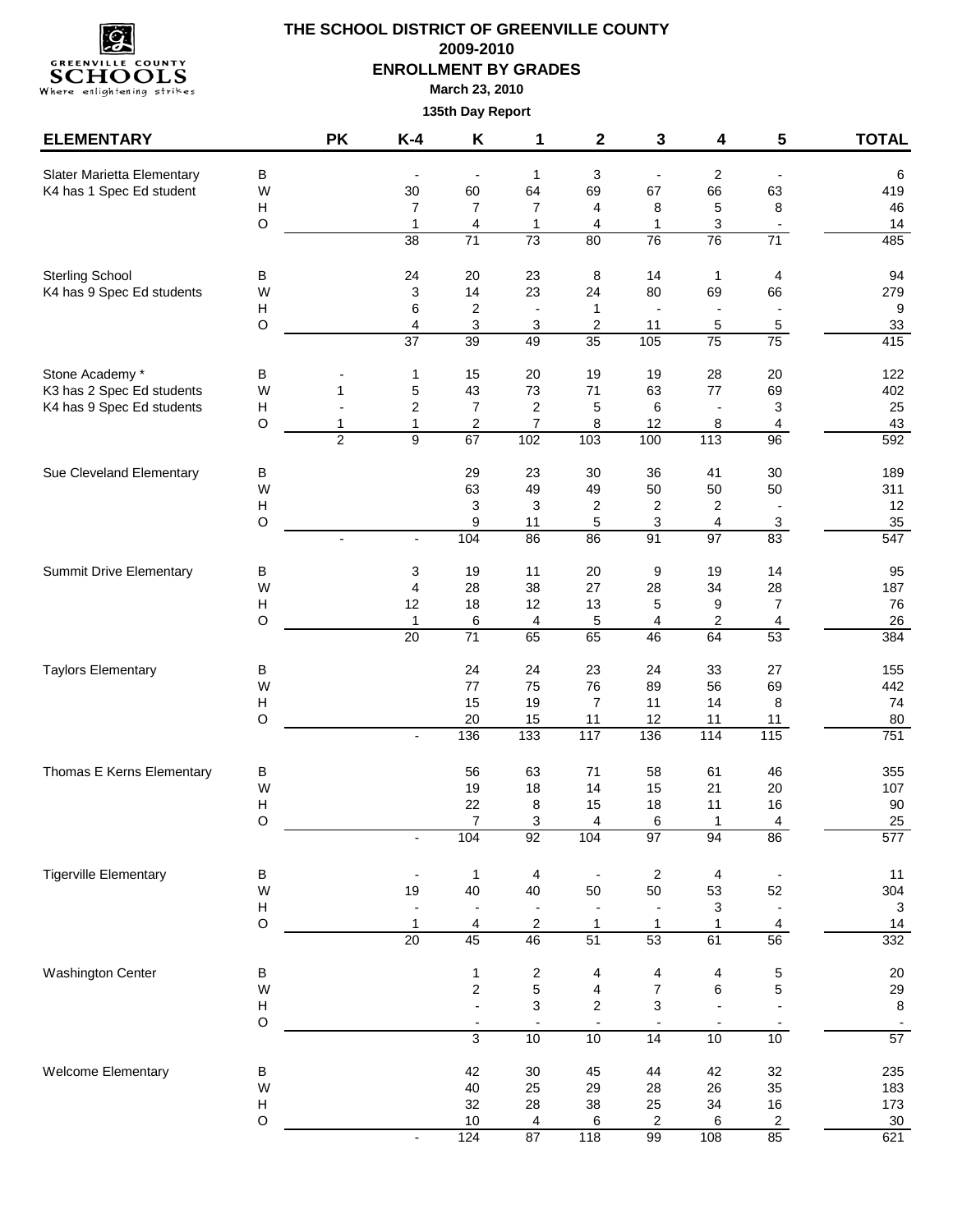

| <b>ELEMENTARY</b>              |                                | <b>PK</b>      | $K-4$                           | Κ                             | 1                              | $\mathbf{2}$             | 3                              | 4                             | 5                              | <b>TOTAL</b>   |
|--------------------------------|--------------------------------|----------------|---------------------------------|-------------------------------|--------------------------------|--------------------------|--------------------------------|-------------------------------|--------------------------------|----------------|
| Slater Marietta Elementary     | B                              |                |                                 |                               | $\mathbf{1}$                   | 3                        | $\overline{\phantom{a}}$       | $\overline{2}$                |                                | 6              |
| K4 has 1 Spec Ed student       | W                              |                | 30                              | 60                            | 64                             | 69                       | 67                             | 66                            | 63                             | 419            |
|                                | H                              |                | 7                               | $\overline{7}$                | $\overline{7}$                 | 4                        | 8                              | 5                             | 8                              | 46             |
|                                | $\mathsf O$                    |                | $\mathbf{1}$<br>$\overline{38}$ | $\overline{\mathbf{4}}$<br>71 | $\mathbf{1}$<br>73             | 4<br>80                  | $\mathbf{1}$<br>76             | 3<br>76                       | $\overline{\phantom{a}}$<br>71 | 14<br>485      |
|                                |                                |                |                                 |                               |                                |                          |                                |                               |                                |                |
| <b>Sterling School</b>         | В                              |                | 24                              | 20                            | 23                             | 8                        | 14                             | 1                             | 4                              | 94             |
| K4 has 9 Spec Ed students      | W<br>Н                         |                | 3<br>6                          | 14<br>$\overline{\mathbf{c}}$ | 23<br>$\overline{\phantom{a}}$ | 24<br>1                  | 80<br>$\overline{\phantom{a}}$ | 69                            | 66                             | 279<br>9       |
|                                | $\circ$                        |                | 4                               | 3                             | $\mathsf 3$                    | $\boldsymbol{2}$         | 11                             | 5                             | $\sqrt{5}$                     | 33             |
|                                |                                |                | $\overline{37}$                 | 39                            | 49                             | 35                       | 105                            | 75                            | 75                             | 415            |
| Stone Academy *                | $\sf B$                        |                | $\mathbf{1}$                    | 15                            | 20                             | 19                       | 19                             | 28                            | 20                             | 122            |
| K3 has 2 Spec Ed students      | W                              | 1              | 5                               | 43                            | 73                             | 71                       | 63                             | 77                            | 69                             | 402            |
| K4 has 9 Spec Ed students      | H                              |                | $\overline{c}$                  | $\overline{7}$                | $\overline{2}$                 | 5                        | 6                              | $\overline{\phantom{a}}$      | 3                              | 25             |
|                                | $\circ$                        | 1              | 1                               | 2                             | $\overline{7}$                 | 8                        | 12                             | 8                             | 4                              | 43             |
|                                |                                | $\overline{2}$ | $\overline{9}$                  | 67                            | 102                            | 103                      | 100                            | 113                           | 96                             | 592            |
| Sue Cleveland Elementary       | $\sf B$                        |                |                                 | 29                            | 23                             | 30                       | 36                             | 41                            | 30                             | 189            |
|                                | W                              |                |                                 | 63                            | 49                             | 49                       | 50                             | 50                            | 50                             | 311            |
|                                | $\boldsymbol{\mathsf{H}}$      |                |                                 | $\ensuremath{\mathsf{3}}$     | 3                              | 2                        | 2                              | 2                             |                                | 12             |
|                                | $\circ$                        |                | $\blacksquare$                  | 9<br>104                      | 11<br>86                       | 5<br>86                  | 3<br>91                        | $\overline{\mathbf{4}}$<br>97 | $\mathbf{3}$<br>83             | 35<br>547      |
|                                |                                |                |                                 |                               |                                |                          |                                |                               |                                |                |
| <b>Summit Drive Elementary</b> | В                              |                | 3                               | 19                            | 11                             | 20                       | 9                              | 19                            | 14                             | 95             |
|                                | W                              |                | 4                               | 28                            | 38                             | 27                       | 28                             | 34                            | 28                             | 187            |
|                                | Н<br>$\circ$                   |                | 12<br>$\mathbf{1}$              | 18<br>6                       | 12<br>4                        | 13<br>5                  | 5<br>4                         | 9<br>$\overline{2}$           | $\overline{7}$<br>4            | 76<br>26       |
|                                |                                |                | 20                              | $\overline{71}$               | 65                             | 65                       | 46                             | 64                            | 53                             | 384            |
| <b>Taylors Elementary</b>      | $\sf B$                        |                |                                 | 24                            | 24                             | 23                       | 24                             | 33                            | 27                             | 155            |
|                                | W                              |                |                                 | 77                            | 75                             | 76                       | 89                             | 56                            | 69                             | 442            |
|                                | Н                              |                |                                 | 15                            | 19                             | 7                        | 11                             | 14                            | 8                              | 74             |
|                                | $\circ$                        |                |                                 | 20                            | 15                             | 11                       | 12                             | 11                            | 11                             | 80             |
|                                |                                |                | $\overline{a}$                  | 136                           | 133                            | 117                      | 136                            | 114                           | 115                            | 751            |
| Thomas E Kerns Elementary      | В                              |                |                                 | 56                            | 63                             | 71                       | 58                             | 61                            | 46                             | 355            |
|                                | W                              |                |                                 | 19                            | 18                             | 14                       | 15                             | 21                            | 20                             | 107            |
|                                | H                              |                |                                 | 22                            | 8                              | 15                       | 18                             | 11                            | 16                             | 90             |
|                                | $\circ$                        |                |                                 | $\overline{7}$                | 3                              | 4                        | 6                              | $\overline{A}$                | 4                              | 25             |
|                                |                                |                |                                 | 104                           | 92                             | 104                      | 97                             | 94                            | 86                             | 577            |
| <b>Tigerville Elementary</b>   | $\sf B$                        |                |                                 | $\mathbf{1}$                  | 4                              | $\blacksquare$           | $\overline{\mathbf{c}}$        | 4                             |                                | 11             |
|                                | W                              |                | 19                              | 40                            | 40                             | 50                       | 50                             | 53                            | 52                             | 304            |
|                                | Н                              |                |                                 |                               |                                |                          |                                | 3                             |                                | 3              |
|                                | $\circ$                        |                | 1<br>$\overline{20}$            | 4<br>45                       | $\overline{2}$<br>46           | 1<br>51                  | $\mathbf{1}$<br>53             | 1<br>61                       | 4<br>56                        | 14<br>332      |
|                                |                                |                |                                 |                               |                                |                          |                                |                               |                                |                |
| Washington Center              | В                              |                |                                 | $\mathbf{1}$                  | $\sqrt{2}$                     | 4                        | 4                              | 4                             | 5                              | 20             |
|                                | W<br>$\boldsymbol{\mathsf{H}}$ |                |                                 | $\overline{\mathbf{c}}$       | $\mathbf 5$<br>3               | 4<br>$\boldsymbol{2}$    | $\overline{7}$<br>3            | 6                             | 5                              | 29<br>8        |
|                                | $\circ$                        |                |                                 | $\overline{\phantom{a}}$      | $\overline{\phantom{a}}$       | $\overline{\phantom{a}}$ | $\blacksquare$                 | $\overline{\phantom{a}}$      |                                | $\blacksquare$ |
|                                |                                |                |                                 | 3                             | 10                             | 10                       | $\overline{14}$                | 10                            | 10                             | 57             |
| Welcome Elementary             | $\sf B$                        |                |                                 | 42                            | 30                             | 45                       | 44                             | 42                            | 32                             | 235            |
|                                | W                              |                |                                 | 40                            | 25                             | 29                       | 28                             | 26                            | 35                             | 183            |
|                                | $\boldsymbol{\mathsf{H}}$      |                |                                 | 32                            | 28                             | 38                       | 25                             | 34                            | $16\,$                         | 173            |
|                                | $\circ$                        |                |                                 | $10$                          | 4                              | 6                        | 2                              | 6                             | $\overline{c}$                 | $30\,$         |
|                                |                                |                |                                 | 124                           | 87                             | 118                      | 99                             | 108                           | 85                             | 621            |